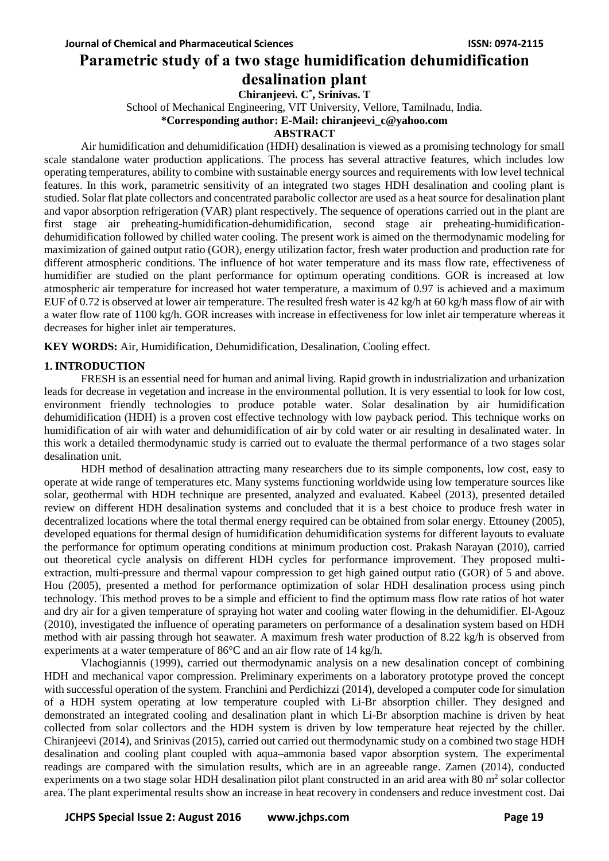# **Parametric study of a two stage humidification dehumidification desalination plant**

**Chiranjeevi. C\* , Srinivas. T**

School of Mechanical Engineering, VIT University, Vellore, Tamilnadu, India.

**\*Corresponding author: E-Mail: chiranjeevi\_c@yahoo.com**

# **ABSTRACT**

Air humidification and dehumidification (HDH) desalination is viewed as a promising technology for small scale standalone water production applications. The process has several attractive features, which includes low operating temperatures, ability to combine with sustainable energy sources and requirements with low level technical features. In this work, parametric sensitivity of an integrated two stages HDH desalination and cooling plant is studied. Solar flat plate collectors and concentrated parabolic collector are used as a heat source for desalination plant and vapor absorption refrigeration (VAR) plant respectively. The sequence of operations carried out in the plant are first stage air preheating-humidification-dehumidification, second stage air preheating-humidificationdehumidification followed by chilled water cooling. The present work is aimed on the thermodynamic modeling for maximization of gained output ratio (GOR), energy utilization factor, fresh water production and production rate for different atmospheric conditions. The influence of hot water temperature and its mass flow rate, effectiveness of humidifier are studied on the plant performance for optimum operating conditions. GOR is increased at low atmospheric air temperature for increased hot water temperature, a maximum of 0.97 is achieved and a maximum EUF of 0.72 is observed at lower air temperature. The resulted fresh water is 42 kg/h at 60 kg/h mass flow of air with a water flow rate of 1100 kg/h. GOR increases with increase in effectiveness for low inlet air temperature whereas it decreases for higher inlet air temperatures.

**KEY WORDS:** Air, Humidification, Dehumidification, Desalination, Cooling effect.

# **1. INTRODUCTION**

FRESH is an essential need for human and animal living. Rapid growth in industrialization and urbanization leads for decrease in vegetation and increase in the environmental pollution. It is very essential to look for low cost, environment friendly technologies to produce potable water. Solar desalination by air humidification dehumidification (HDH) is a proven cost effective technology with low payback period. This technique works on humidification of air with water and dehumidification of air by cold water or air resulting in desalinated water. In this work a detailed thermodynamic study is carried out to evaluate the thermal performance of a two stages solar desalination unit.

HDH method of desalination attracting many researchers due to its simple components, low cost, easy to operate at wide range of temperatures etc. Many systems functioning worldwide using low temperature sources like solar, geothermal with HDH technique are presented, analyzed and evaluated. Kabeel (2013), presented detailed review on different HDH desalination systems and concluded that it is a best choice to produce fresh water in decentralized locations where the total thermal energy required can be obtained from solar energy. Ettouney (2005), developed equations for thermal design of humidification dehumidification systems for different layouts to evaluate the performance for optimum operating conditions at minimum production cost. Prakash Narayan (2010), carried out theoretical cycle analysis on different HDH cycles for performance improvement. They proposed multiextraction, multi-pressure and thermal vapour compression to get high gained output ratio (GOR) of 5 and above. Hou (2005), presented a method for performance optimization of solar HDH desalination process using pinch technology. This method proves to be a simple and efficient to find the optimum mass flow rate ratios of hot water and dry air for a given temperature of spraying hot water and cooling water flowing in the dehumidifier. El-Agouz (2010), investigated the influence of operating parameters on performance of a desalination system based on HDH method with air passing through hot seawater. A maximum fresh water production of 8.22 kg/h is observed from experiments at a water temperature of 86°C and an air flow rate of 14 kg/h.

Vlachogiannis (1999), carried out thermodynamic analysis on a new desalination concept of combining HDH and mechanical vapor compression. Preliminary experiments on a laboratory prototype proved the concept with successful operation of the system. Franchini and Perdichizzi (2014), developed a computer code for simulation of a HDH system operating at low temperature coupled with Li-Br absorption chiller. They designed and demonstrated an integrated cooling and desalination plant in which Li-Br absorption machine is driven by heat collected from solar collectors and the HDH system is driven by low temperature heat rejected by the chiller. Chiranjeevi (2014), and Srinivas (2015), carried out carried out thermodynamic study on a combined two stage HDH desalination and cooling plant coupled with aqua–ammonia based vapor absorption system. The experimental readings are compared with the simulation results, which are in an agreeable range. Zamen (2014), conducted experiments on a two stage solar HDH desalination pilot plant constructed in an arid area with 80  $m<sup>2</sup>$  solar collector area. The plant experimental results show an increase in heat recovery in condensers and reduce investment cost. Dai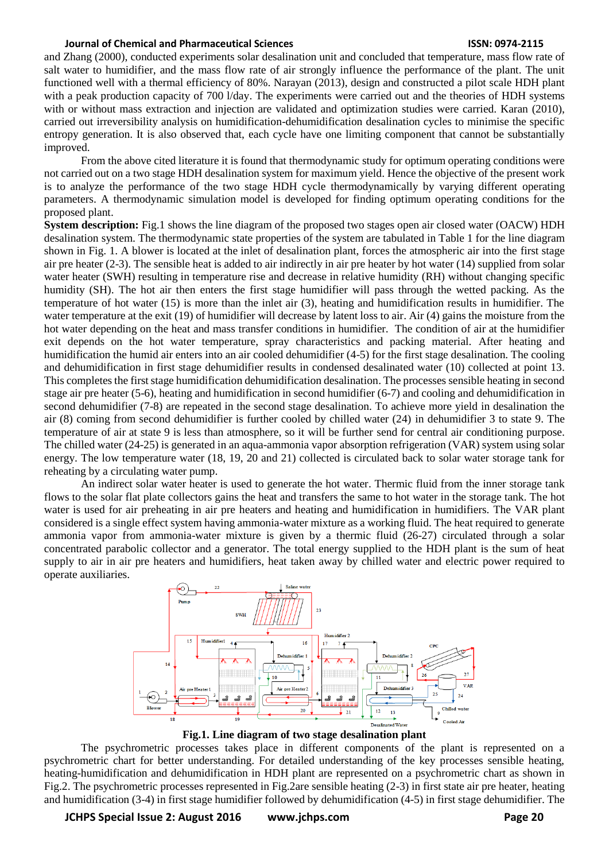and Zhang (2000), conducted experiments solar desalination unit and concluded that temperature, mass flow rate of salt water to humidifier, and the mass flow rate of air strongly influence the performance of the plant. The unit functioned well with a thermal efficiency of 80%. Narayan (2013), design and constructed a pilot scale HDH plant with a peak production capacity of 700 l/day. The experiments were carried out and the theories of HDH systems with or without mass extraction and injection are validated and optimization studies were carried. Karan (2010), carried out irreversibility analysis on humidification-dehumidification desalination cycles to minimise the specific entropy generation. It is also observed that, each cycle have one limiting component that cannot be substantially improved.

From the above cited literature it is found that thermodynamic study for optimum operating conditions were not carried out on a two stage HDH desalination system for maximum yield. Hence the objective of the present work is to analyze the performance of the two stage HDH cycle thermodynamically by varying different operating parameters. A thermodynamic simulation model is developed for finding optimum operating conditions for the proposed plant.

**System description:** Fig.1 shows the line diagram of the proposed two stages open air closed water (OACW) HDH desalination system. The thermodynamic state properties of the system are tabulated in Table 1 for the line diagram shown in Fig. 1. A blower is located at the inlet of desalination plant, forces the atmospheric air into the first stage air pre heater (2-3). The sensible heat is added to air indirectly in air pre heater by hot water (14) supplied from solar water heater (SWH) resulting in temperature rise and decrease in relative humidity (RH) without changing specific humidity (SH). The hot air then enters the first stage humidifier will pass through the wetted packing. As the temperature of hot water (15) is more than the inlet air (3), heating and humidification results in humidifier. The water temperature at the exit (19) of humidifier will decrease by latent loss to air. Air (4) gains the moisture from the hot water depending on the heat and mass transfer conditions in humidifier. The condition of air at the humidifier exit depends on the hot water temperature, spray characteristics and packing material. After heating and humidification the humid air enters into an air cooled dehumidifier (4-5) for the first stage desalination. The cooling and dehumidification in first stage dehumidifier results in condensed desalinated water (10) collected at point 13. This completes the first stage humidification dehumidification desalination. The processes sensible heating in second stage air pre heater (5-6), heating and humidification in second humidifier (6-7) and cooling and dehumidification in second dehumidifier (7-8) are repeated in the second stage desalination. To achieve more yield in desalination the air (8) coming from second dehumidifier is further cooled by chilled water (24) in dehumidifier 3 to state 9. The temperature of air at state 9 is less than atmosphere, so it will be further send for central air conditioning purpose. The chilled water (24-25) is generated in an aqua-ammonia vapor absorption refrigeration (VAR) system using solar energy. The low temperature water (18, 19, 20 and 21) collected is circulated back to solar water storage tank for reheating by a circulating water pump.

An indirect solar water heater is used to generate the hot water. Thermic fluid from the inner storage tank flows to the solar flat plate collectors gains the heat and transfers the same to hot water in the storage tank. The hot water is used for air preheating in air pre heaters and heating and humidification in humidifiers. The VAR plant considered is a single effect system having ammonia-water mixture as a working fluid. The heat required to generate ammonia vapor from ammonia-water mixture is given by a thermic fluid (26-27) circulated through a solar concentrated parabolic collector and a generator. The total energy supplied to the HDH plant is the sum of heat supply to air in air pre heaters and humidifiers, heat taken away by chilled water and electric power required to operate auxiliaries.



**Fig.1. Line diagram of two stage desalination plant**

The psychrometric processes takes place in different components of the plant is represented on a psychrometric chart for better understanding. For detailed understanding of the key processes sensible heating, heating-humidification and dehumidification in HDH plant are represented on a psychrometric chart as shown in Fig.2. The psychrometric processes represented in Fig.2are sensible heating (2-3) in first state air pre heater, heating and humidification (3-4) in first stage humidifier followed by dehumidification (4-5) in first stage dehumidifier. The

**JCHPS Special Issue 2: August 2016 www.jchps.com Page 20**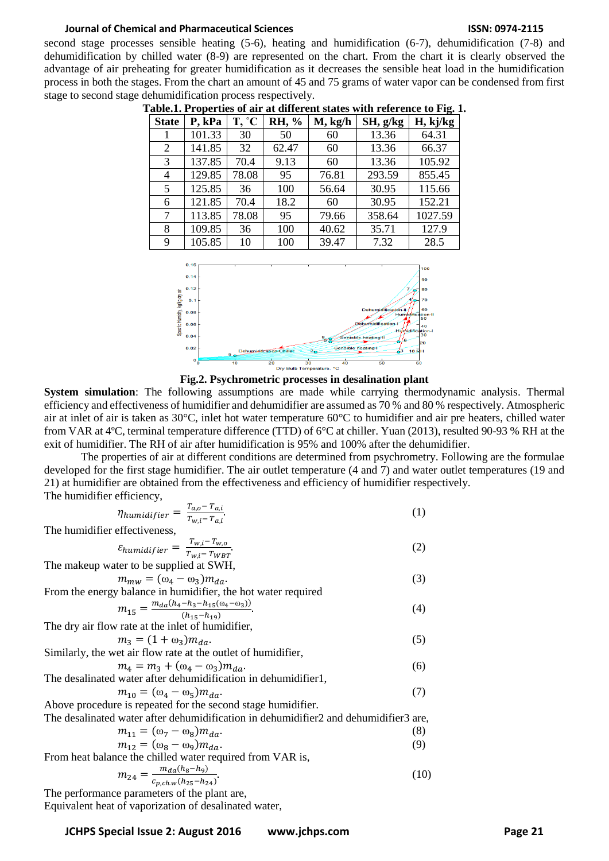second stage processes sensible heating (5-6), heating and humidification (6-7), dehumidification (7-8) and dehumidification by chilled water (8-9) are represented on the chart. From the chart it is clearly observed the advantage of air preheating for greater humidification as it decreases the sensible heat load in the humidification process in both the stages. From the chart an amount of 45 and 75 grams of water vapor can be condensed from first stage to second stage dehumidification process respectively.

| <b>State</b> | P, kPa | T, °C | RH, % | $M$ , kg/h | SH, g/kg | o<br>H, kj/kg |
|--------------|--------|-------|-------|------------|----------|---------------|
|              | 101.33 | 30    | 50    | 60         | 13.36    | 64.31         |
| 2            | 141.85 | 32    | 62.47 | 60         | 13.36    | 66.37         |
| 3            | 137.85 | 70.4  | 9.13  | 60         | 13.36    | 105.92        |
| 4            | 129.85 | 78.08 | 95    | 76.81      | 293.59   | 855.45        |
| 5            | 125.85 | 36    | 100   | 56.64      | 30.95    | 115.66        |
| 6            | 121.85 | 70.4  | 18.2  | 60         | 30.95    | 152.21        |
| 7            | 113.85 | 78.08 | 95    | 79.66      | 358.64   | 1027.59       |
| 8            | 109.85 | 36    | 100   | 40.62      | 35.71    | 127.9         |
| 9            | 105.85 | 10    | 100   | 39.47      | 7.32     | 28.5          |

**Table.1. Properties of air at different states with reference to Fig. 1.**



**Fig.2. Psychrometric processes in desalination plant**

**System simulation**: The following assumptions are made while carrying thermodynamic analysis. Thermal efficiency and effectiveness of humidifier and dehumidifier are assumed as 70 % and 80 % respectively. Atmospheric air at inlet of air is taken as 30°C, inlet hot water temperature 60°C to humidifier and air pre heaters, chilled water from VAR at 4ºC, terminal temperature difference (TTD) of 6°C at chiller. Yuan (2013), resulted 90-93 % RH at the exit of humidifier. The RH of air after humidification is 95% and 100% after the dehumidifier.

The properties of air at different conditions are determined from psychrometry. Following are the formulae developed for the first stage humidifier. The air outlet temperature (4 and 7) and water outlet temperatures (19 and 21) at humidifier are obtained from the effectiveness and efficiency of humidifier respectively. The humidifier efficiency,

$$
\eta_{humanifier} = \frac{T_{a,o} - T_{a,i}}{T_{w,i} - T_{a,i}}.\tag{1}
$$

The humidifier effectiveness,

$$
\varepsilon_{humidifier} = \frac{T_{w,i} - T_{w,o}}{T_{w,i} - T_{WBT}}.\tag{2}
$$

The makeup water to be supplied at SWH,

$$
m_{mw} = (\omega_4 - \omega_3)m_{da}.\tag{3}
$$

From the energy balance in humidifier, the hot water required  
\n
$$
m_{15} = \frac{m_{da}(h_4 - h_3 - h_{15}(\omega_4 - \omega_3))}{(h_{15} - h_{19})}.
$$
\n(4)  
\nThe dry air flow rate at the inlet of humidifier,

 $m_3 = (1 + \omega_3) m_{da}.$  $)m_{da}$ . (5)

Similarly, the wet air flow rate at the outlet of humidifier,  
\n
$$
m_4 = m_3 + (\omega_4 - \omega_3)m_{da}.
$$
\n(6)

The desalinated water after dehumidification in dehumidifier1, 
$$
(0)
$$

$$
m_{10} = (\omega_4 - \omega_5)m_{da}.\tag{7}
$$

Above procedure is repeated for the second stage humidifier. The desalinated water after dehumidification in dehumidifier2 and dehumidifier3 are,

$$
m_{11} = (\omega_7 - \omega_8)m_{da}.\tag{8}
$$

$$
m_{12} = (\omega_8 - \omega_9) m_{da}.
$$
 (9)

From heat balance the chilled water required from VAR is,

$$
m_{24} = \frac{m_{da}(h_8 - h_9)}{c_{p, ch, w}(h_{25} - h_{24})}.
$$
 (10)

The performance parameters of the plant are, Equivalent heat of vaporization of desalinated water,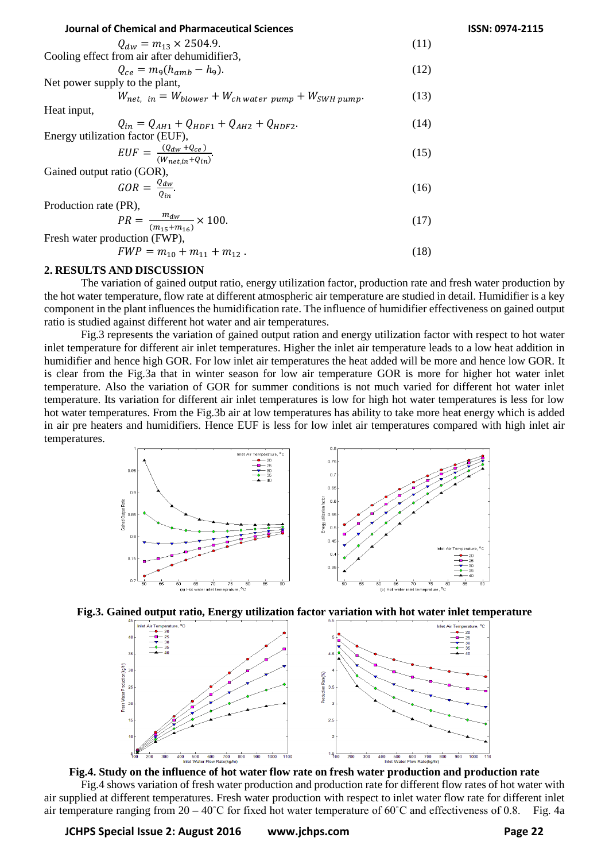| <b>Journal of Chemical and Pharmaceutical Sciences</b>           |      |
|------------------------------------------------------------------|------|
| $Q_{dw} = m_{13} \times 2504.9$ .                                | (11) |
| Cooling effect from air after dehumidifier3,                     |      |
| $Q_{ce} = m_{\rm g}(h_{amb} - h_{\rm g}).$                       | (12) |
| Net power supply to the plant,                                   |      |
| $W_{net. in} = W_{blower} + W_{ch water\ pump} + W_{SWH\ pump}.$ | (13) |
| Heat input,                                                      |      |
| $Q_{in} = Q_{AH1} + Q_{HDF1} + Q_{AH2} + Q_{HDF2}.$              | (14) |
| Energy utilization factor (EUF),                                 |      |
| $EUF = \frac{(Q_{dw} + Q_{ce})}{(W_{net.in} + Q_{in})}.$         | (15) |
| Gained output ratio (GOR),                                       |      |
| $GOR = \frac{Q_{dw}}{Q_{in}}$ .                                  | (16) |
| $\mathbf{r}$ 1 $\mathbf{r}$<br>$\sqrt{N}$                        |      |

Production rate (PR),

$$
PR = \frac{m_{dw}}{(m_{15} + m_{16})} \times 100. \tag{17}
$$

Fresh water production (FWP),

$$
FWP = m_{10} + m_{11} + m_{12} \,. \tag{18}
$$

#### **2. RESULTS AND DISCUSSION**

The variation of gained output ratio, energy utilization factor, production rate and fresh water production by the hot water temperature, flow rate at different atmospheric air temperature are studied in detail. Humidifier is a key component in the plant influences the humidification rate. The influence of humidifier effectiveness on gained output ratio is studied against different hot water and air temperatures.

Fig.3 represents the variation of gained output ration and energy utilization factor with respect to hot water inlet temperature for different air inlet temperatures. Higher the inlet air temperature leads to a low heat addition in humidifier and hence high GOR. For low inlet air temperatures the heat added will be more and hence low GOR. It is clear from the Fig.3a that in winter season for low air temperature GOR is more for higher hot water inlet temperature. Also the variation of GOR for summer conditions is not much varied for different hot water inlet temperature. Its variation for different air inlet temperatures is low for high hot water temperatures is less for low hot water temperatures. From the Fig.3b air at low temperatures has ability to take more heat energy which is added in air pre heaters and humidifiers. Hence EUF is less for low inlet air temperatures compared with high inlet air temperatures.







Fig.4 shows variation of fresh water production and production rate for different flow rates of hot water with air supplied at different temperatures. Fresh water production with respect to inlet water flow rate for different inlet air temperature ranging from 20 – 40˚C for fixed hot water temperature of 60˚C and effectiveness of 0.8. Fig. 4a

**Journal of Chemical and Pharmaceutical Sciences ISSN: 0974-2115**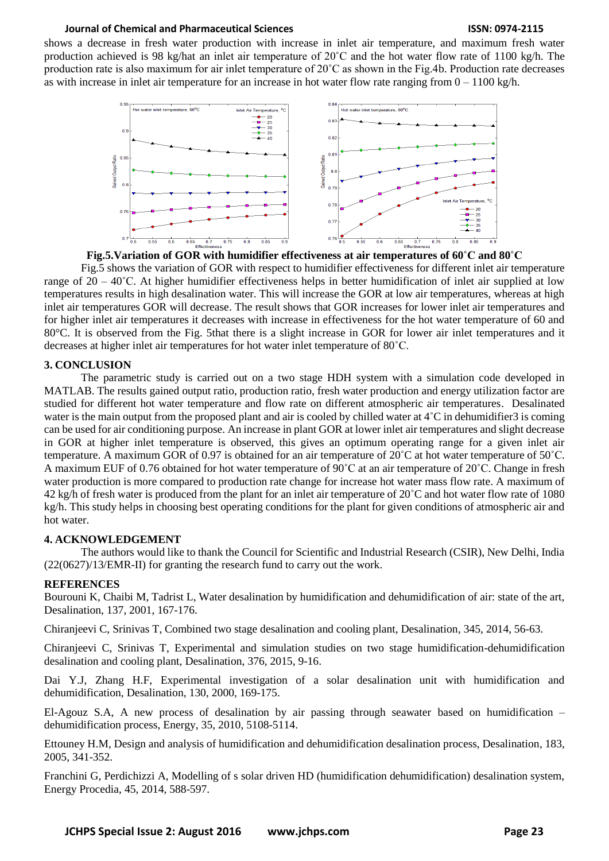shows a decrease in fresh water production with increase in inlet air temperature, and maximum fresh water production achieved is 98 kg/hat an inlet air temperature of 20˚C and the hot water flow rate of 1100 kg/h. The production rate is also maximum for air inlet temperature of 20˚C as shown in the Fig.4b. Production rate decreases as with increase in inlet air temperature for an increase in hot water flow rate ranging from  $0 - 1100 \text{ kg/h}$ .





Fig.5 shows the variation of GOR with respect to humidifier effectiveness for different inlet air temperature range of  $20 - 40^{\circ}$ C. At higher humidifier effectiveness helps in better humidification of inlet air supplied at low temperatures results in high desalination water. This will increase the GOR at low air temperatures, whereas at high inlet air temperatures GOR will decrease. The result shows that GOR increases for lower inlet air temperatures and for higher inlet air temperatures it decreases with increase in effectiveness for the hot water temperature of 60 and 80°C. It is observed from the Fig. 5that there is a slight increase in GOR for lower air inlet temperatures and it decreases at higher inlet air temperatures for hot water inlet temperature of 80˚C.

# **3. CONCLUSION**

The parametric study is carried out on a two stage HDH system with a simulation code developed in MATLAB. The results gained output ratio, production ratio, fresh water production and energy utilization factor are studied for different hot water temperature and flow rate on different atmospheric air temperatures. Desalinated water is the main output from the proposed plant and air is cooled by chilled water at  $4^{\circ}$ C in dehumidifier 3 is coming can be used for air conditioning purpose. An increase in plant GOR at lower inlet air temperatures and slight decrease in GOR at higher inlet temperature is observed, this gives an optimum operating range for a given inlet air temperature. A maximum GOR of 0.97 is obtained for an air temperature of 20˚C at hot water temperature of 50˚C. A maximum EUF of 0.76 obtained for hot water temperature of 90˚C at an air temperature of 20˚C. Change in fresh water production is more compared to production rate change for increase hot water mass flow rate. A maximum of 42 kg/h of fresh water is produced from the plant for an inlet air temperature of 20˚C and hot water flow rate of 1080 kg/h. This study helps in choosing best operating conditions for the plant for given conditions of atmospheric air and hot water.

# **4. ACKNOWLEDGEMENT**

The authors would like to thank the Council for Scientific and Industrial Research (CSIR), New Delhi, India (22(0627)/13/EMR-II) for granting the research fund to carry out the work.

# **REFERENCES**

Bourouni K, Chaibi M, Tadrist L, Water desalination by humidification and dehumidification of air: state of the art, Desalination, 137, 2001, 167-176.

Chiranjeevi C, Srinivas T, Combined two stage desalination and cooling plant, Desalination, 345, 2014, 56-63.

Chiranjeevi C, Srinivas T, Experimental and simulation studies on two stage humidification-dehumidification desalination and cooling plant, Desalination, 376, 2015, 9-16.

Dai Y.J, Zhang H.F, Experimental investigation of a solar desalination unit with humidification and dehumidification, Desalination, 130, 2000, 169-175.

El-Agouz S.A, A new process of desalination by air passing through seawater based on humidification – dehumidification process, Energy, 35, 2010, 5108-5114.

Ettouney H.M, Design and analysis of humidification and dehumidification desalination process, Desalination, 183, 2005, 341-352.

Franchini G, Perdichizzi A, Modelling of s solar driven HD (humidification dehumidification) desalination system, Energy Procedia, 45, 2014, 588-597.